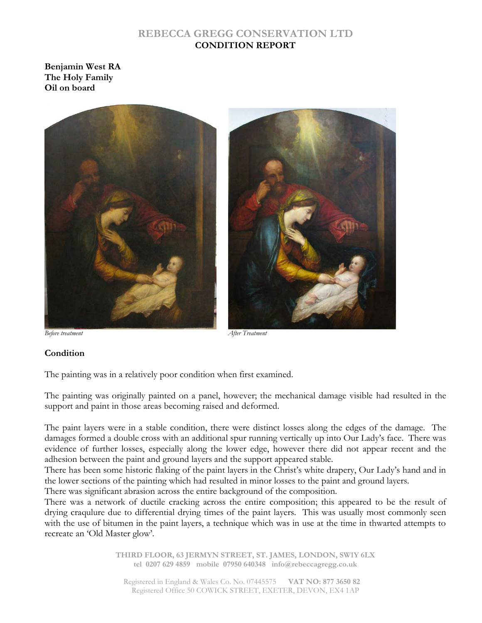#### **REBECCA GREGG CONSERVATION LTD CONDITION REPORT**

**Benjamin West RA The Holy Family Oil on board** 



*Before treatment After Treatment* 

#### **Condition**

The painting was in a relatively poor condition when first examined.

The painting was originally painted on a panel, however; the mechanical damage visible had resulted in the support and paint in those areas becoming raised and deformed.

The paint layers were in a stable condition, there were distinct losses along the edges of the damage. The damages formed a double cross with an additional spur running vertically up into Our Lady's face. There was evidence of further losses, especially along the lower edge, however there did not appear recent and the adhesion between the paint and ground layers and the support appeared stable.

There has been some historic flaking of the paint layers in the Christ's white drapery, Our Lady's hand and in the lower sections of the painting which had resulted in minor losses to the paint and ground layers. There was significant abrasion across the entire background of the composition.

There was a network of ductile cracking across the entire composition; this appeared to be the result of drying craqulure due to differential drying times of the paint layers. This was usually most commonly seen with the use of bitumen in the paint layers, a technique which was in use at the time in thwarted attempts to recreate an 'Old Master glow'.

> **THIRD FLOOR, 63 JERMYN STREET, ST. JAMES, LONDON, SW1Y 6LX tel 0207 629 4859 mobile 07950 640348 info@rebeccagregg.co.uk**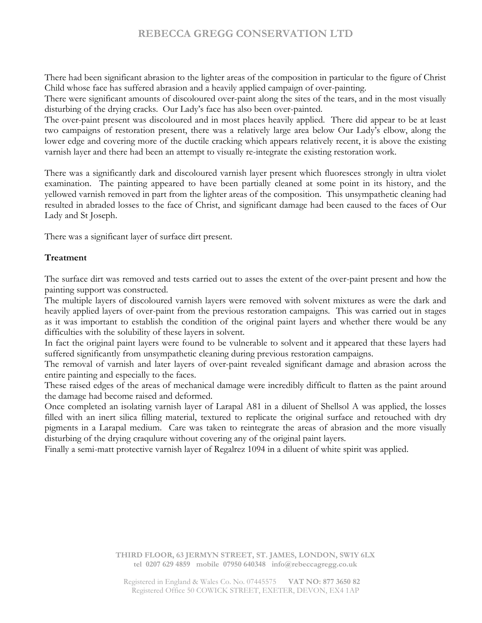There had been significant abrasion to the lighter areas of the composition in particular to the figure of Christ Child whose face has suffered abrasion and a heavily applied campaign of over-painting.

There were significant amounts of discoloured over-paint along the sites of the tears, and in the most visually disturbing of the drying cracks. Our Lady's face has also been over-painted.

The over-paint present was discoloured and in most places heavily applied. There did appear to be at least two campaigns of restoration present, there was a relatively large area below Our Lady's elbow, along the lower edge and covering more of the ductile cracking which appears relatively recent, it is above the existing varnish layer and there had been an attempt to visually re-integrate the existing restoration work.

There was a significantly dark and discoloured varnish layer present which fluoresces strongly in ultra violet examination. The painting appeared to have been partially cleaned at some point in its history, and the yellowed varnish removed in part from the lighter areas of the composition. This unsympathetic cleaning had resulted in abraded losses to the face of Christ, and significant damage had been caused to the faces of Our Lady and St Joseph.

There was a significant layer of surface dirt present.

#### **Treatment**

The surface dirt was removed and tests carried out to asses the extent of the over-paint present and how the painting support was constructed.

The multiple layers of discoloured varnish layers were removed with solvent mixtures as were the dark and heavily applied layers of over-paint from the previous restoration campaigns. This was carried out in stages as it was important to establish the condition of the original paint layers and whether there would be any difficulties with the solubility of these layers in solvent.

In fact the original paint layers were found to be vulnerable to solvent and it appeared that these layers had suffered significantly from unsympathetic cleaning during previous restoration campaigns.

The removal of varnish and later layers of over-paint revealed significant damage and abrasion across the entire painting and especially to the faces.

These raised edges of the areas of mechanical damage were incredibly difficult to flatten as the paint around the damage had become raised and deformed.

Once completed an isolating varnish layer of Larapal A81 in a diluent of Shellsol A was applied, the losses filled with an inert silica filling material, textured to replicate the original surface and retouched with dry pigments in a Larapal medium. Care was taken to reintegrate the areas of abrasion and the more visually disturbing of the drying craqulure without covering any of the original paint layers.

Finally a semi-matt protective varnish layer of Regalrez 1094 in a diluent of white spirit was applied.

**THIRD FLOOR, 63 JERMYN STREET, ST. JAMES, LONDON, SW1Y 6LX tel 0207 629 4859 mobile 07950 640348 info@rebeccagregg.co.uk**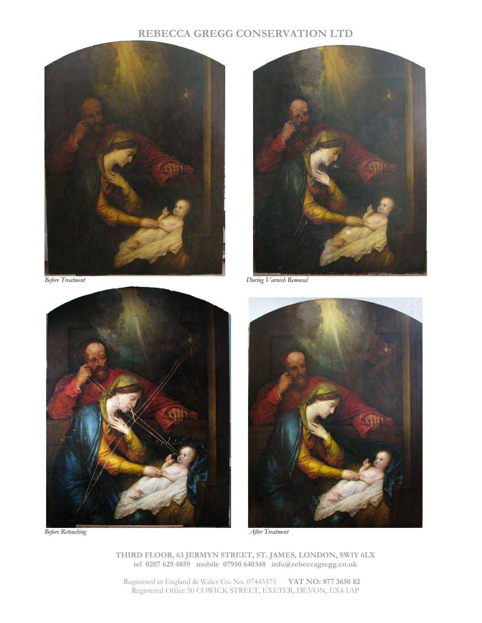





*Before Treatment During Varnish Removal* 



**THIRD FLOOR, 63 JERMYN STREET, ST. JAMES, LONDON, SW1Y 6LX tel 0207 629 4859 mobile 07950 640348 info@rebeccagregg.co.uk**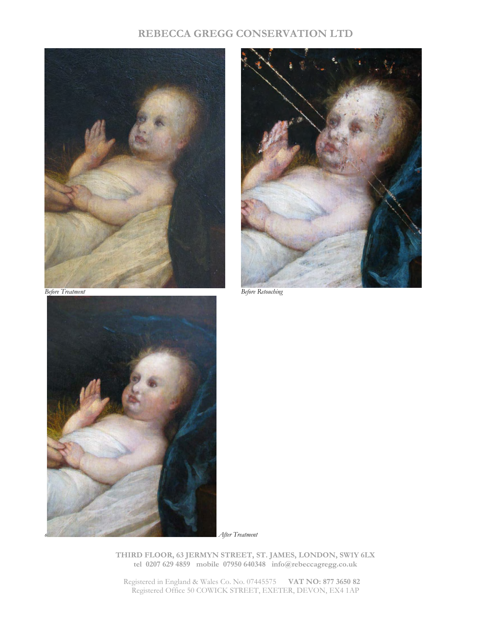





*o After Treatment* 

**THIRD FLOOR, 63 JERMYN STREET, ST. JAMES, LONDON, SW1Y 6LX tel 0207 629 4859 mobile 07950 640348 info@rebeccagregg.co.uk**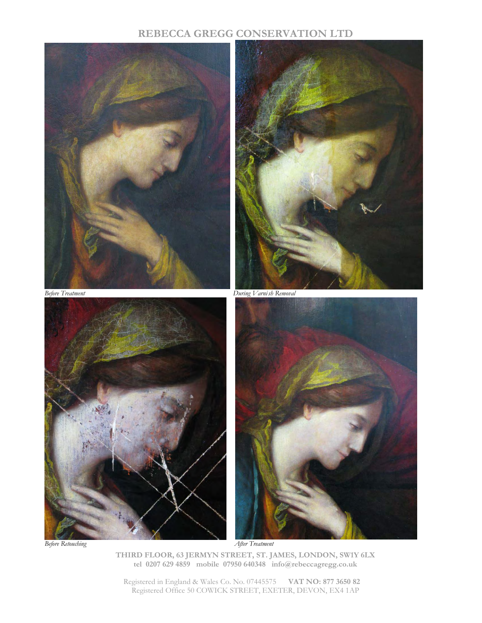

**THIRD FLOOR, 63 JERMYN STREET, ST. JAMES, LONDON, SW1Y 6LX tel 0207 629 4859 mobile 07950 640348 info@rebeccagregg.co.uk**  *Before Retouching After Treatment*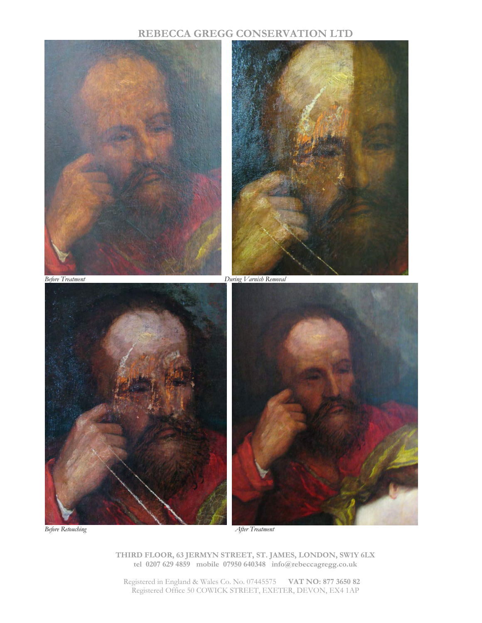

*Before Retouching After Treatment* 

**THIRD FLOOR, 63 JERMYN STREET, ST. JAMES, LONDON, SW1Y 6LX tel 0207 629 4859 mobile 07950 640348 info@rebeccagregg.co.uk**